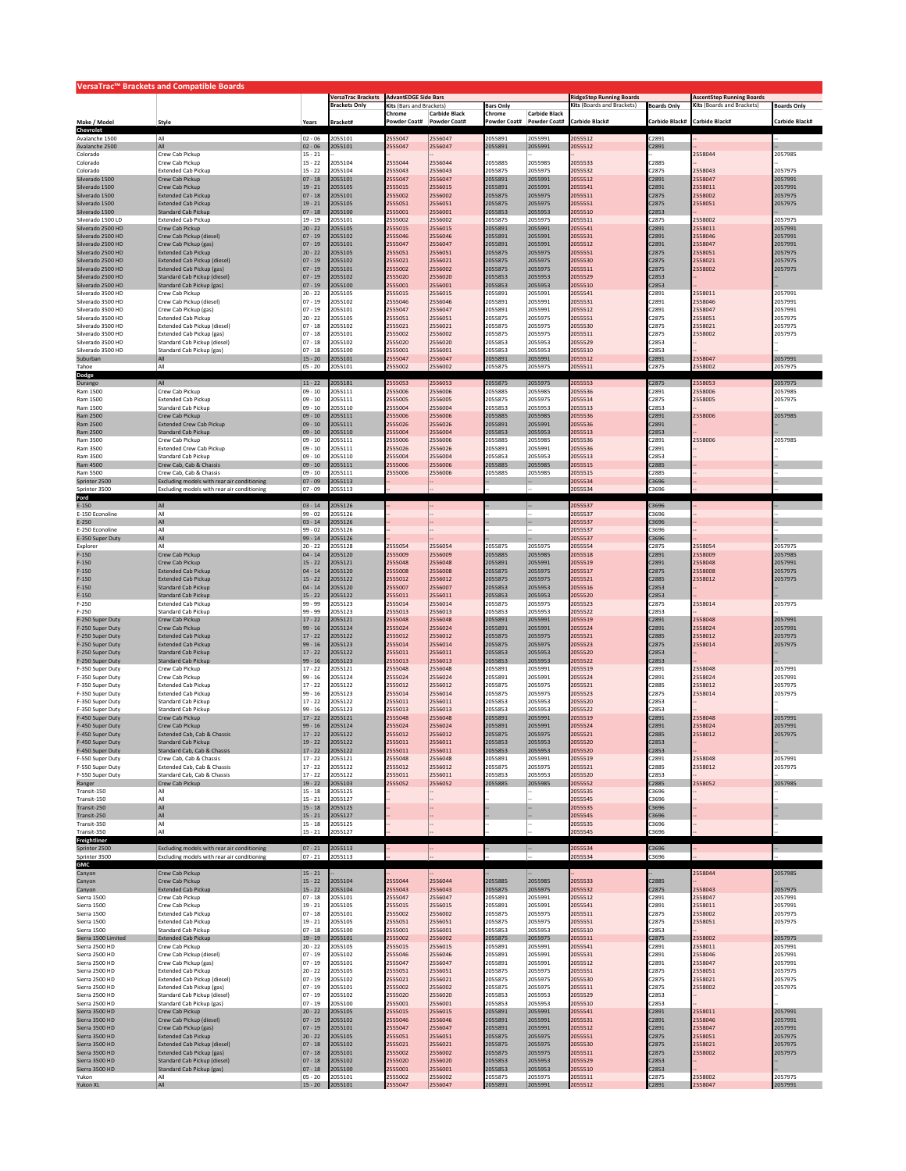|                                        | VersaTrac™ Brackets and Compatible Boards                  |                         |                                                   |                                                                                    |                      |                                                                                     |                      |                                                                |                    |                    |                    |
|----------------------------------------|------------------------------------------------------------|-------------------------|---------------------------------------------------|------------------------------------------------------------------------------------|----------------------|-------------------------------------------------------------------------------------|----------------------|----------------------------------------------------------------|--------------------|--------------------|--------------------|
|                                        |                                                            |                         | <b>VersaTrac Brackets</b><br><b>Brackets Only</b> | <b>AdvantEDGE Side Bars</b><br><b>Kits (Bars and Brackets)</b><br><b>Bars Only</b> |                      | <b>RidgeStep Running Boards</b><br>Kits (Boards and Brackets)<br><b>Boards Only</b> |                      | <b>AscentStep Running Boards</b><br>Kits (Boards and Brackets) | <b>Boards Only</b> |                    |                    |
|                                        |                                                            |                         |                                                   | Chrome                                                                             | <b>Carbide Black</b> | Chrome                                                                              | <b>Carbide Black</b> |                                                                |                    |                    |                    |
| Make / Model                           | Style                                                      | Years                   | Bracket#                                          | Powder Coat#                                                                       | Powder Coat#         | owder Coat#                                                                         | Powder Coat#         | Carbide Black#                                                 | Carbide Black#     | Carbide Black#     | Carbide Black#     |
| Chevrole<br>Avalanche 1500             | All                                                        | $02 - 06$               | 2055101                                           | 2555047                                                                            | 2556047              | 2055891                                                                             | 2055991              | 2055512                                                        | C2891              |                    |                    |
| Avalanche 2500                         | All                                                        | $02 - 06$               | 2055101                                           | 2555047                                                                            | 2556047              | 2055891                                                                             | 2055991              | 2055512                                                        | C2891              |                    |                    |
| Colorado<br>Colorado                   | Crew Cab Pickup<br>Crew Cab Pickup                         | $15 - 21$<br>$15 - 22$  | 2055104                                           | 2555044                                                                            | 2556044              | 2055885                                                                             | 2055985              | 2055533                                                        | C2885              | 2558044            | 2057985            |
| Colorado                               | <b>Extended Cab Pickup</b>                                 | $15 - 22$               | 2055104                                           | 2555043                                                                            | 2556043              | 2055875                                                                             | 2055975              | 2055532                                                        | C2875              | 2558043            | 2057975            |
| Silverado 1500<br>Silverado 1500       | Crew Cab Pickup<br>Crew Cab Pickup                         | $07 - 18$<br>$19 - 21$  | 2055101<br>2055105                                | 2555047<br>2555015                                                                 | 2556047<br>2556015   | 2055891<br>2055891                                                                  | 2055991<br>2055991   | 2055512<br>2055541                                             | C2891<br>C2891     | 2558047<br>2558011 | 2057991<br>2057991 |
| Silverado 1500                         | <b>Extended Cab Pickup</b>                                 | $07 - 18$               | 2055101                                           | 2555002                                                                            | 2556002              | 2055875                                                                             | 2055975              | 2055511                                                        | C2875              | 2558002            | 2057975            |
| Silverado 1500                         | <b>Extended Cab Pickup</b>                                 | $19 - 21$               | 2055105                                           | 2555051                                                                            | 2556051              | 2055875                                                                             | 2055975              | 2055551                                                        | C2875              | 2558051            | 2057975            |
| Silverado 1500<br>Silverado 1500 LD    | <b>Standard Cab Pickup</b><br><b>Extended Cab Pickup</b>   | $07 - 18$<br>$19 - 19$  | 2055100<br>2055101                                | 2555001<br>2555002                                                                 | 2556001<br>2556002   | 2055853<br>2055875                                                                  | 2055953<br>2055975   | 2055510<br>2055511                                             | C2853<br>C2875     | 2558002            | 2057975            |
| Silverado 2500 HD                      | Crew Cab Pickup                                            | $20 - 22$               | 2055105                                           | 2555015                                                                            | 2556015              | 2055891                                                                             | 2055991              | 2055541                                                        | C2891              | 2558011            | 2057991            |
| Silverado 2500 HD                      | Crew Cab Pickup (diesel)                                   | $07 - 19$               | 2055102                                           | 2555046                                                                            | 2556046              | 2055891                                                                             | 2055991              | 2055531                                                        | C2891              | 2558046            | 2057991            |
| Silverado 2500 HD<br>Silverado 2500 HD | Crew Cab Pickup (gas)<br><b>Extended Cab Pickup</b>        | $07 - 19$<br>$20 - 22$  | 2055101<br>2055105                                | 2555047<br>2555051                                                                 | 2556047<br>2556051   | 2055891<br>2055875                                                                  | 2055991<br>2055975   | 2055512<br>2055551                                             | C2891<br>C2875     | 2558047<br>2558051 | 2057991<br>2057975 |
| Silverado 2500 HD                      | Extended Cab Pickup (diesel)                               | $07 - 19$               | 2055102                                           | 2555021                                                                            | 2556021              | 2055875                                                                             | 2055975              | 2055530                                                        | C2875              | 2558021            | 2057975            |
| Silverado 2500 HD                      | <b>Extended Cab Pickup (gas)</b>                           | $07 - 19$               | 2055101                                           | 2555002                                                                            | 2556002              | 2055875                                                                             | 2055975              | 2055511                                                        | C2875              | 2558002            | 2057975            |
| Silverado 2500 HD<br>Silverado 2500 HD | Standard Cab Pickup (diesel)<br>Standard Cab Pickup (gas   | $07 - 19$<br>$ 07 - 19$ | 2055102<br>2055100                                | 2555020<br>2555001                                                                 | 2556020<br>2556001   | 2055853<br>2055853                                                                  | 2055953<br>2055953   | 2055529<br>2055510                                             | C2853<br>C2853     |                    |                    |
| Silverado 3500 HD                      | Crew Cab Pickup                                            | $20 - 22$               | 2055105                                           | 2555015                                                                            | 2556015              | 2055891                                                                             | 2055991              | 2055541                                                        | C2891              | 2558011            | 2057991            |
| Silverado 3500 HD                      | Crew Cab Pickup (diesel)                                   | $07 - 19$               | 2055102                                           | 2555046                                                                            | 2556046              | 2055891                                                                             | 2055991              | 2055531                                                        | C2891              | 2558046            | 2057991            |
| Silverado 3500 HD<br>Silverado 3500 HD | Crew Cab Pickup (gas)<br><b>Extended Cab Pickup</b>        | $07 - 19$<br>$20 - 22$  | 2055101<br>2055105                                | 2555047<br>2555051                                                                 | 2556047<br>2556051   | 2055891<br>2055875                                                                  | 2055991<br>2055975   | 2055512<br>2055551                                             | C2891<br>C2875     | 2558047<br>2558051 | 2057991<br>2057975 |
| Silverado 3500 HD                      | Extended Cab Pickup (diesel)                               | $07 - 18$               | 2055102                                           | 2555021                                                                            | 2556021              | 2055875                                                                             | 2055975              | 2055530                                                        | C2875              | 2558021            | 2057975            |
| Silverado 3500 HD                      | Extended Cab Pickup (gas)                                  | $07 - 18$               | 2055101                                           | 2555002                                                                            | 2556002              | 2055875                                                                             | 2055975              | 2055511                                                        | C2875              | 2558002            | 2057975            |
| Silverado 3500 HD<br>Silverado 3500 HD | Standard Cab Pickup (diesel)<br>Standard Cab Pickup (gas)  | $07 - 18$<br>$07 - 18$  | 2055102<br>2055100                                | 2555020<br>2555001                                                                 | 2556020<br>2556001   | 2055853<br>2055853                                                                  | 2055953<br>2055953   | 2055529<br>2055510                                             | C2853<br>C2853     |                    |                    |
| Suburban                               |                                                            | $15 - 20$               | 2055101                                           | 2555047                                                                            | 2556047              | 2055891                                                                             | 2055991              | 2055512                                                        | C2891              | 2558047            | 2057991            |
| Tahoe<br>Dodge                         | All                                                        | $05 - 20$               | 2055101                                           | 2555002                                                                            | 2556002              | 2055875                                                                             | 2055975              | 2055511                                                        | C2875              | 2558002            | 2057975            |
| Durango                                | All                                                        | $11 - 22$               | 2055181                                           | 2555053                                                                            | 2556053              | 2055875                                                                             | 2055975              | 2055553                                                        | C2875              | 2558053            | 2057975            |
| Ram 1500                               | Crew Cab Pickup                                            | $09 - 10$               | 2055111                                           | 2555006                                                                            | 2556006              | 2055885                                                                             | 2055985              | 2055536                                                        | C2891              | 2558006            | 2057985            |
| Ram 1500<br>Ram 1500                   | <b>Extended Cab Pickup</b><br><b>Standard Cab Pickup</b>   | 09 - 10<br>$09 - 10$    | 2055111<br>2055110                                | 2555005<br>2555004                                                                 | 2556005<br>2556004   | 2055875<br>2055853                                                                  | 2055975<br>2055953   | 2055514<br>2055513                                             | C2875<br>C2853     | 2558005            | 2057975            |
| Ram 2500                               | Crew Cab Pickup                                            | $09 - 10$               | 2055111                                           | 2555006                                                                            | 2556006              | 2055885                                                                             | 2055985              | 2055536                                                        | C2891              | 2558006            | 2057985            |
| Ram 2500                               | <b>Extended Crew Cab Pickup</b>                            | $09 - 10$               | 2055111                                           | 2555026                                                                            | 2556026              | 2055891                                                                             | 2055991              | 2055536                                                        | C2891              |                    |                    |
| Ram 2500<br>Ram 3500                   | <b>Standard Cab Pickup</b><br>Crew Cab Pickup              | $09 - 10$<br>$09 - 10$  | 2055110<br>2055111                                | 2555004<br>2555006                                                                 | 2556004<br>2556006   | 2055853<br>2055885                                                                  | 2055953<br>2055985   | 2055513<br>2055536                                             | C2853<br>C2891     | 2558006            | 2057985            |
| Ram 3500                               | <b>Extended Crew Cab Pickup</b>                            | $09 - 10$               | 2055111                                           | 2555026                                                                            | 2556026              | 2055891                                                                             | 2055991              | 2055536                                                        | C2891              |                    |                    |
| Ram 3500                               | Standard Cab Pickup                                        | $09 - 10$               | 2055110                                           | 2555004                                                                            | 2556004              | 2055853                                                                             | 2055953              | 2055513                                                        | C2853              |                    |                    |
| Ram 4500<br>Ram 5500                   | Crew Cab, Cab & Chassis<br>Crew Cab, Cab & Chassis         | $09 - 10$<br>$09 - 10$  | 2055111<br>2055111                                | 2555006<br>2555006                                                                 | 2556006<br>2556006   | 2055885<br>2055885                                                                  | 2055985<br>2055985   | 2055515<br>2055515                                             | C2885<br>C2885     |                    |                    |
| Sprinter 2500                          | Excluding models with rear air conditioning                | $07 - 09$               | 2055113                                           |                                                                                    |                      |                                                                                     |                      | 2055534                                                        | C3696              |                    |                    |
| Sprinter 3500                          | Excluding models with rear air conditioning                | $07 - 09$               | 2055113                                           |                                                                                    |                      |                                                                                     |                      | 2055534                                                        | 3696               |                    |                    |
| Ford<br>$E-150$                        | All                                                        | $03 - 14$               | 2055126                                           |                                                                                    |                      |                                                                                     |                      | 2055537                                                        | C3696              |                    |                    |
| E-150 Econoline                        | All                                                        | $99 - 02$               | 2055126                                           |                                                                                    |                      |                                                                                     |                      | 2055537                                                        | C3696              |                    |                    |
| $E - 250$                              | All                                                        | $03 - 14$               | 2055126                                           |                                                                                    |                      |                                                                                     |                      | 2055537                                                        | C3696              |                    |                    |
| E-250 Econoline<br>E-350 Super Duty    | All<br>All                                                 | $99 - 02$<br>$99 - 14$  | 2055126<br>2055126                                |                                                                                    |                      |                                                                                     |                      | 2055537<br>2055537                                             | C3696<br>C3696     |                    |                    |
| Explorer                               | All                                                        | $20 - 22$               | 2055128                                           | 2555054                                                                            | 2556054              | 2055875                                                                             | 2055975              | 2055554                                                        | C2875              | 2558054            | 2057975            |
| $F-150$                                | Crew Cab Pickup                                            | $04 - 14$               | 2055120                                           | 2555009                                                                            | 2556009              | 2055885                                                                             | 2055985              | 2055518                                                        | C2891              | 2558009            | 2057985            |
| $F-150$<br>$F-150$                     | Crew Cab Pickup<br><b>Extended Cab Pickup</b>              | $15 - 22$<br>$04 - 14$  | 2055121<br>2055120                                | 2555048<br>2555008                                                                 | 2556048<br>2556008   | 2055891<br>2055875                                                                  | 2055991<br>2055975   | 2055519<br>2055517                                             | C2891<br>C2875     | 2558048<br>2558008 | 2057991<br>2057975 |
| $F-150$                                | <b>Extended Cab Pickup</b>                                 | $15 - 22$               | 2055122                                           | 2555012                                                                            | 2556012              | 2055875                                                                             | 2055975              | 2055521                                                        | C2885              | 2558012            | 2057975            |
| $F-150$                                | <b>Standard Cab Pickup</b>                                 | $04 - 14$               | 2055120                                           | 2555007                                                                            | 2556007              | 2055853                                                                             | 2055953              | 2055516                                                        | C2853              |                    |                    |
| $F-150$<br>$F-250$                     | <b>Standard Cab Pickup</b><br><b>Extended Cab Pickup</b>   | $15 - 22$<br>99 - 99    | 2055122<br>2055123                                | 2555011<br>2555014                                                                 | 2556011<br>2556014   | 2055853<br>2055875                                                                  | 2055953<br>2055975   | 2055520<br>2055523                                             | C2853<br>C2875     | 2558014            | 2057975            |
| $F-250$                                | <b>Standard Cab Pickup</b>                                 | 99 - 99                 | 2055123                                           | 2555013                                                                            | 2556013              | 2055853                                                                             | 2055953              | 2055522                                                        | C2853              |                    |                    |
| F-250 Super Duty<br>F-250 Super Duty   | Crew Cab Pickup<br>Crew Cab Pickup                         | $17 - 22$<br>99 - 16    | 2055121<br>2055124                                | 2555048<br>2555024                                                                 | 2556048<br>2556024   | 2055891<br>2055891                                                                  | 2055991<br>2055991   | 2055519<br>2055524                                             | C2891<br>C2891     | 2558048<br>2558024 | 2057991<br>2057991 |
| F-250 Super Duty                       | <b>Extended Cab Pickup</b>                                 | $17 - 22$               | 2055122                                           | 2555012                                                                            | 2556012              | 2055875                                                                             | 2055975              | 2055521                                                        | C2885              | 2558012            | 2057975            |
| F-250 Super Duty                       | <b>Extended Cab Pickup</b>                                 | $99 - 16$               | 2055123                                           | 2555014                                                                            | 2556014              | 2055875                                                                             | 2055975              | 2055523                                                        | C2875              | 2558014            | 2057975            |
| F-250 Super Duty<br>F-250 Super Duty   | Standard Cab Pickup                                        | $17 - 22$               | 2055122<br>2055123                                | 2555011                                                                            | 2556011              | 2055853                                                                             | 2055953              | 2055520                                                        | C2853              |                    |                    |
| F-350 Super Duty                       | <b>Standard Cab Pickup</b><br>Crew Cab Pickup              | 99 - 16<br>$17 - 22$    | 2055121                                           | 2555013<br>2555048                                                                 | 2556013<br>2556048   | 2055853<br>2055891                                                                  | 2055953<br>2055991   | 2055522<br>2055519                                             | C2853<br>C2891     | 2558048            | 2057991            |
| F-350 Super Duty                       | Crew Cab Pickup                                            | $99 - 16$               | 2055124                                           | 2555024                                                                            | 2556024              | 2055891                                                                             | 2055991              | 2055524                                                        | C2891              | 2558024            | 2057991            |
| F-350 Super Duty<br>F-350 Super Duty   | <b>Extended Cab Pickup</b><br><b>Extended Cab Pickup</b>   | $17 - 22$<br>99 - 16    | 2055122<br>2055123                                | 2555012<br>2555014                                                                 | 2556012<br>2556014   | 2055875<br>2055875                                                                  | 2055975<br>2055975   | 2055521<br>2055523                                             | C2885<br>C2875     | 2558012<br>2558014 | 2057975<br>2057975 |
| F-350 Super Duty                       | Standard Cab Pickup                                        | $17 - 22$               | 2055122                                           | 2555011                                                                            | 2556011              | 2055853                                                                             | 2055953              | 2055520                                                        | C2853              |                    |                    |
| F-350 Super Duty                       | <b>Standard Cab Pickup</b>                                 | 99 - 16                 | 2055123                                           | 2555013                                                                            | 2556013              | 2055853                                                                             | 2055953              | 2055522                                                        | C2853              |                    |                    |
| F-450 Super Duty<br>F-450 Super Duty   | Crew Cab Pickup<br>Crew Cab Pickup                         | $17 - 22$<br>$99 - 16$  | 2055121<br>2055124                                | 2555048<br>2555024                                                                 | 2556048<br>2556024   | 2055891<br>2055891                                                                  | 2055991<br>2055991   | 2055519<br>2055524                                             | C2891<br>C2891     | 2558048<br>2558024 | 2057991<br>2057991 |
| F-450 Super Duty                       | Extended Cab, Cab & Chassis                                | $17 - 22$               | 2055122                                           | 2555012                                                                            | 2556012              | 2055875                                                                             | 2055975              | 2055521                                                        | C2885              | 2558012            | 2057975            |
| F-450 Super Duty                       | <b>Standard Cab Pickup</b>                                 | $19 - 22$               | 2055122                                           | 2555011                                                                            | 2556011              | 2055853                                                                             | 2055953              | 2055520                                                        | C2853              |                    |                    |
| F-450 Super Duty<br>F-550 Super Duty   | Standard Cab, Cab & Chassis<br>Crew Cab, Cab & Chassis     | $17 - 22$<br>$17 - 22$  | 2055122<br>2055121                                | 2555011<br>2555048                                                                 | 2556011<br>2556048   | 2055853<br>2055891                                                                  | 2055953<br>2055991   | 2055520<br>2055519                                             | C2853<br>C2891     | 2558048            | 2057991            |
| F-550 Super Duty                       | Extended Cab, Cab & Chassis                                | $17 - 22$               | 2055122                                           | 2555012                                                                            | 2556012              | 2055875                                                                             | 2055975              | 2055521                                                        | C2885              | 2558012            | 2057975            |
| F-550 Super Duty                       | Standard Cab, Cab & Chassis                                | $17 - 22$               | 2055122                                           | 2555011                                                                            | 2556011              | 2055853                                                                             | 2055953              | 2055520                                                        | C2853              |                    |                    |
| Ranger<br>Transit-150                  | Crew Cab Pickup<br>All                                     | $19 - 22$<br>$15 - 18$  | 2055103<br>2055125                                | 2555052                                                                            | 2556052              | 2055885                                                                             | 2055985              | 2055552<br>2055535                                             | C2885<br>C3696     | 2558052            | 2057985            |
| Transit-150                            | All                                                        | $15 - 21$               | 2055127                                           |                                                                                    |                      |                                                                                     |                      | 2055545                                                        | C3696              |                    |                    |
| Transit-250                            | All                                                        | $15 - 18$               | 2055125                                           |                                                                                    |                      |                                                                                     |                      | 2055535                                                        | C3696              |                    |                    |
| Transit-250<br>Transit-350             | All<br>All                                                 | $15 - 21$<br>$15 - 18$  | 2055127<br>2055125                                |                                                                                    |                      |                                                                                     |                      | 2055545<br>2055535                                             | C3696<br>C3696     |                    |                    |
| Transit-350                            | All                                                        | $15 - 21$               | 2055127                                           |                                                                                    |                      |                                                                                     |                      | 2055545                                                        | C3696              |                    |                    |
| Freightliner                           | Excluding models with rear air conditioning                |                         | 2055113                                           |                                                                                    |                      |                                                                                     |                      | 2055534                                                        | C3696              |                    |                    |
| Sprinter 2500<br>Sprinter 3500         | Excluding models with rear air conditioning                | $07 - 21$<br>$07 - 21$  | 2055113                                           |                                                                                    |                      |                                                                                     |                      | 2055534                                                        | C3696              |                    |                    |
| GMC                                    |                                                            |                         |                                                   |                                                                                    |                      |                                                                                     |                      |                                                                |                    |                    |                    |
| Canyon<br>Canyon                       | Crew Cab Pickup<br>Crew Cab Pickup                         | $15 - 21$<br>$15 - 22$  | 2055104                                           | 2555044                                                                            | 2556044              | 2055885                                                                             | 2055985              | 2055533                                                        | C2885              | 2558044            | 2057985            |
| Canyon                                 | <b>Extended Cab Pickup</b>                                 | $15 - 22$               | 2055104                                           | 2555043                                                                            | 2556043              | 2055875                                                                             | 2055975              | 2055532                                                        | C2875              | 2558043            | 2057975            |
| Sierra 1500                            | Crew Cab Pickup                                            | $07 - 18$               | 2055101                                           | 2555047                                                                            | 2556047              | 2055891                                                                             | 2055991              | 2055512                                                        | C2891              | 2558047            | 2057991            |
| Sierra 1500<br>Sierra 1500             | Crew Cab Pickup<br><b>Extended Cab Pickup</b>              | $19 - 21$<br>$07 - 18$  | 2055105<br>2055101                                | 2555015<br>2555002                                                                 | 2556015<br>2556002   | 2055891<br>2055875                                                                  | 2055991<br>2055975   | 2055541<br>2055511                                             | C2891<br>C2875     | 2558011<br>2558002 | 2057991<br>2057975 |
| Sierra 1500                            | <b>Extended Cab Pickup</b>                                 | $19 - 21$               | 2055105                                           | 2555051                                                                            | 2556051              | 2055875                                                                             | 2055975              | 2055551                                                        | C2875              | 2558051            | 2057975            |
| Sierra 1500                            | Standard Cab Pickup                                        | 07 - 18                 | 2055100                                           | 2555001                                                                            | 2556001              | 2055853                                                                             | 2055953              | 2055510                                                        | C2853              |                    |                    |
| Sierra 1500 Limited<br>Sierra 2500 HD  | <b>Extended Cab Pickup</b><br>Crew Cab Pickup              | $19 - 19$<br>$20 - 22$  | 2055101<br>2055105                                | 2555002<br>2555015                                                                 | 2556002<br>2556015   | 2055875<br>2055891                                                                  | 2055975<br>2055991   | 2055511<br>2055541                                             | C2875<br>C2891     | 2558002<br>2558011 | 2057975<br>2057991 |
| Sierra 2500 HD                         | Crew Cab Pickup (diesel)                                   | $07 - 19$               | 2055102                                           | 2555046                                                                            | 2556046              | 2055891                                                                             | 2055991              | 2055531                                                        | C2891              | 2558046            | 2057991            |
| Sierra 2500 HD                         | Crew Cab Pickup (gas)                                      | $07 - 19$               | 2055101                                           | 2555047                                                                            | 2556047              | 2055891                                                                             | 2055991              | 2055512                                                        | C2891              | 2558047            | 2057991            |
| Sierra 2500 HD<br>Sierra 2500 HD       | <b>Extended Cab Pickup</b><br>Extended Cab Pickup (diesel) | $20 - 22$<br>$07 - 19$  | 2055105<br>2055102                                | 2555051<br>2555021                                                                 | 2556051<br>2556021   | 2055875<br>2055875                                                                  | 2055975<br>2055975   | 2055551<br>2055530                                             | C2875<br>C2875     | 2558051<br>2558021 | 2057975<br>2057975 |
| Sierra 2500 HD                         | Extended Cab Pickup (gas)                                  | $07 - 19$               | 2055101                                           | 2555002                                                                            | 2556002              | 2055875                                                                             | 2055975              | 2055511                                                        | C2875              | 2558002            | 2057975            |
| Sierra 2500 HD<br>Sierra 2500 HD       | Standard Cab Pickup (diesel)                               | $07 - 19$<br>$07 - 19$  | 2055102<br>2055100                                | 2555020                                                                            | 2556020              | 2055853<br>2055853                                                                  | 2055953              | 2055529<br>2055510                                             | C2853<br>C2853     |                    |                    |
| Sierra 3500 HD                         | Standard Cab Pickup (gas)<br>Crew Cab Pickup               | $20 - 22$               | 2055105                                           | 2555001<br>2555015                                                                 | 2556001<br>2556015   | 2055891                                                                             | 2055953<br>2055991   | 2055541                                                        | C2891              | 2558011            | 2057991            |
| Sierra 3500 HD                         | Crew Cab Pickup (diesel)                                   | $07 - 19$               | 2055102                                           | 2555046                                                                            | 2556046              | 2055891                                                                             | 2055991              | 2055531                                                        | C2891              | 2558046            | 2057991            |
| Sierra 3500 HD<br>Sierra 3500 HD       | Crew Cab Pickup (gas)<br><b>Extended Cab Pickup</b>        | $07 - 19$<br>$20 - 22$  | 2055101<br>2055105                                | 2555047<br>2555051                                                                 | 2556047<br>2556051   | 2055891<br>2055875                                                                  | 2055991<br>2055975   | 2055512<br>2055551                                             | C2891<br>C2875     | 2558047<br>2558051 | 2057991<br>2057975 |
| Sierra 3500 HD                         | <b>Extended Cab Pickup (diesel)</b>                        | $07 - 18$               | 2055102                                           | 2555021                                                                            | 2556021              | 2055875                                                                             | 2055975              | 2055530                                                        | C2875              | 2558021            | 2057975            |
| Sierra 3500 HD                         | Extended Cab Pickup (gas)                                  | $ 07 - 18 $             | 2055101                                           | 2555002                                                                            | 2556002              | 2055875                                                                             | 2055975              | 2055511                                                        | C2875              | 2558002            | 2057975            |
| Sierra 3500 HD<br>Sierra 3500 HD       | Standard Cab Pickup (diesel)<br>Standard Cab Pickup (gas)  | $07 - 18$<br>$07 - 18$  | 2055102<br>2055100                                | 2555020<br>2555001                                                                 | 2556020<br>2556001   | 2055853<br>2055853                                                                  | 2055953<br>2055953   | 2055529<br>2055510                                             | C2853<br>C2853     |                    |                    |
| Yukon                                  | All                                                        | $05 - 20$               | 2055101                                           | 2555002                                                                            | 2556002              | 2055875                                                                             | 2055975              | 2055511                                                        | C2875              | 2558002            | 2057975            |
| Yukon XL                               | All                                                        | $15 - 20$               | 2055101                                           | 2555047                                                                            | 2556047              | 2055891                                                                             | 2055991              | 2055512                                                        | C2891              | 2558047            | 2057991            |